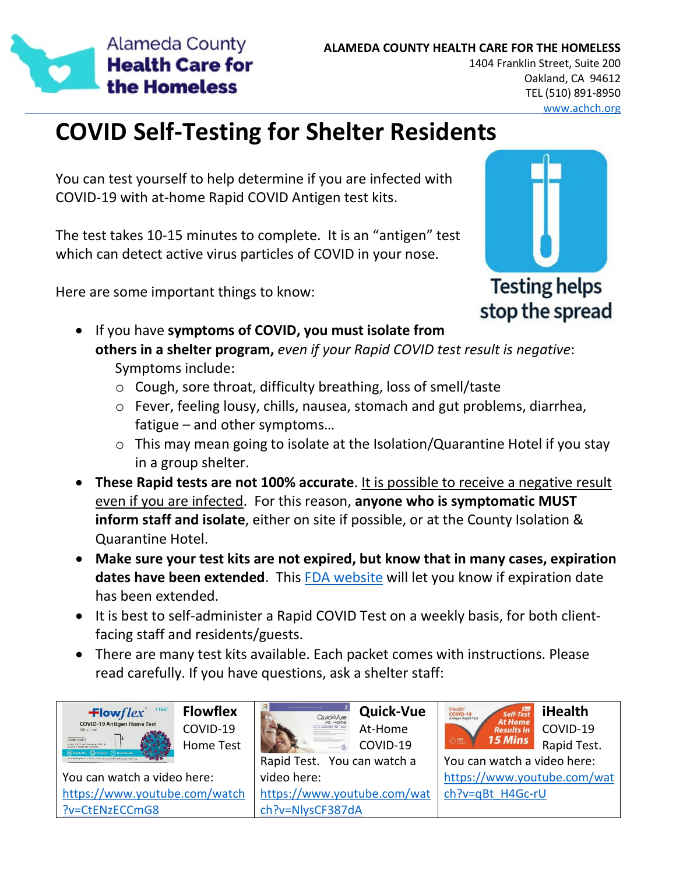

#### www.achch.org

# **COVID Self-Testing for Shelter Residents**

You can test yourself to help determine if you are infected with COVID-19 with at-home Rapid COVID Antigen test kits.

The test takes 10-15 minutes to complete. It is an "antigen" test which can detect active virus particles of COVID in your nose.

Here are some important things to know:



**Testing helps** stop the spread

- If you have **symptoms of COVID, you must isolate from others in a shelter program,** *even if your Rapid COVID test result is negative*: Symptoms include:
	- o Cough, sore throat, difficulty breathing, loss of smell/taste
	- o Fever, feeling lousy, chills, nausea, stomach and gut problems, diarrhea, fatigue – and other symptoms…
	- o This may mean going to isolate at the Isolation/Quarantine Hotel if you stay in a group shelter.
- **These Rapid tests are not 100% accurate**. It is possible to receive a negative result even if you are infected. For this reason, **anyone who is symptomatic MUST inform staff and isolate**, either on site if possible, or at the County Isolation & Quarantine Hotel.
- **Make sure your test kits are not expired, but know that in many cases, expiration dates have been extended**. This FDA website will let you know if expiration date has been extended.
- It is best to self-administer a Rapid COVID Test on a weekly basis, for both clientfacing staff and residents/guests.
- There are many test kits available. Each packet comes with instructions. Please read carefully. If you have questions, ask a shelter staff:

| 1 TEST<br>$\textsf{Flowflex}^*$<br><b>COVID-19 Antigen Home Test</b><br><b>REFLIGES WARD</b><br>comp-19 Text<br>V Exy to Use (C) Accurate (D) Quick Results | <b>Flowflex</b>  | п<br>PART PARK PEADY MYER VOLAR<br>QuickVue<br>At-Home    | <b>Quick-Vue</b> | Self-Test<br>iHealth <sup>®</sup><br><b>COVID-19</b><br><b>otigen Rapid Tex</b> | <b>iHealth</b> |
|-------------------------------------------------------------------------------------------------------------------------------------------------------------|------------------|-----------------------------------------------------------|------------------|---------------------------------------------------------------------------------|----------------|
|                                                                                                                                                             | COVID-19         | OTC COVID-19 Ter<br>$\sim$ boll into the state and $\sim$ | At-Home          | <b>At Home</b><br><b>Results In</b>                                             | COVID-19       |
|                                                                                                                                                             | <b>Home Test</b> |                                                           | COVID-19         | 15 Mins<br>$\sum_{i=1}^{n}$                                                     | Rapid Test.    |
| With a first processing on the company time to the construct 1 (times).                                                                                     |                  | Rapid Test. You can watch a                               |                  | You can watch a video here:                                                     |                |
| You can watch a video here:                                                                                                                                 |                  | video here:                                               |                  | https://www.youtube.com/wat                                                     |                |
| https://www.youtube.com/watch                                                                                                                               |                  | https://www.youtube.com/wat                               |                  | ch?v=qBt H4Gc-rU                                                                |                |
| ?v=CtENzECCmG8                                                                                                                                              |                  | ch?v=NlysCF387dA                                          |                  |                                                                                 |                |